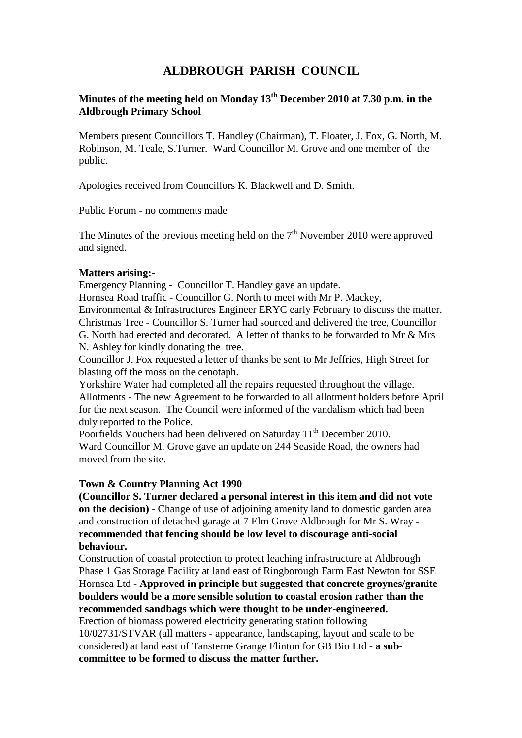# **ALDBROUGH PARISH COUNCIL**

# **Minutes of the meeting held on Monday 13th December 2010 at 7.30 p.m. in the Aldbrough Primary School**

Members present Councillors T. Handley (Chairman), T. Floater, J. Fox, G. North, M. Robinson, M. Teale, S.Turner. Ward Councillor M. Grove and one member of the public.

Apologies received from Councillors K. Blackwell and D. Smith.

Public Forum - no comments made

The Minutes of the previous meeting held on the  $7<sup>th</sup>$  November 2010 were approved and signed.

# **Matters arising:-**

Emergency Planning - Councillor T. Handley gave an update.

Hornsea Road traffic - Councillor G. North to meet with Mr P. Mackey, Environmental & Infrastructures Engineer ERYC early February to discuss the matter. Christmas Tree - Councillor S. Turner had sourced and delivered the tree, Councillor G. North had erected and decorated. A letter of thanks to be forwarded to Mr & Mrs N. Ashley for kindly donating the tree.

Councillor J. Fox requested a letter of thanks be sent to Mr Jeffries, High Street for blasting off the moss on the cenotaph.

Yorkshire Water had completed all the repairs requested throughout the village. Allotments - The new Agreement to be forwarded to all allotment holders before April for the next season. The Council were informed of the vandalism which had been duly reported to the Police.

Poorfields Vouchers had been delivered on Saturday 11<sup>th</sup> December 2010. Ward Councillor M. Grove gave an update on 244 Seaside Road, the owners had moved from the site.

#### **Town & Country Planning Act 1990**

**(Councillor S. Turner declared a personal interest in this item and did not vote on the decision)** - Change of use of adjoining amenity land to domestic garden area and construction of detached garage at 7 Elm Grove Aldbrough for Mr S. Wray **recommended that fencing should be low level to discourage anti-social behaviour.**

Construction of coastal protection to protect leaching infrastructure at Aldbrough Phase 1 Gas Storage Facility at land east of Ringborough Farm East Newton for SSE Hornsea Ltd - **Approved in principle but suggested that concrete groynes/granite boulders would be a more sensible solution to coastal erosion rather than the recommended sandbags which were thought to be under-engineered.**

Erection of biomass powered electricity generating station following 10/02731/STVAR (all matters - appearance, landscaping, layout and scale to be considered) at land east of Tansterne Grange Flinton for GB Bio Ltd - **a subcommittee to be formed to discuss the matter further.**